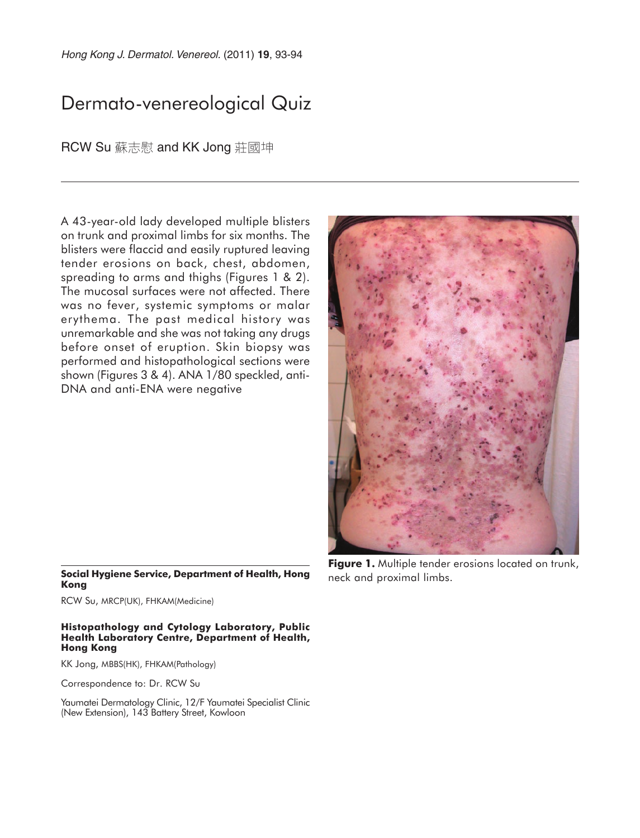# Dermato-venereological Quiz

RCW Su 蘇志慰 and KK Jong 莊國坤

A 43-year-old lady developed multiple blisters on trunk and proximal limbs for six months. The blisters were flaccid and easily ruptured leaving tender erosions on back, chest, abdomen, spreading to arms and thighs (Figures 1 & 2). The mucosal surfaces were not affected. There was no fever, systemic symptoms or malar erythema. The past medical history was unremarkable and she was not taking any drugs before onset of eruption. Skin biopsy was performed and histopathological sections were shown (Figures 3 & 4). ANA 1/80 speckled, anti-DNA and anti-ENA were negative



### **Social Hygiene Service, Department of Health, Hong Kong**

RCW Su, MRCP(UK), FHKAM(Medicine)

#### **Histopathology and Cytology Laboratory, Public Health Laboratory Centre, Department of Health, Hong Kong**

KK Jong, MBBS(HK), FHKAM(Pathology)

Correspondence to: Dr. RCW Su

Yaumatei Dermatology Clinic, 12/F Yaumatei Specialist Clinic (New Extension), 143 Battery Street, Kowloon

**Figure 1.** Multiple tender erosions located on trunk, neck and proximal limbs.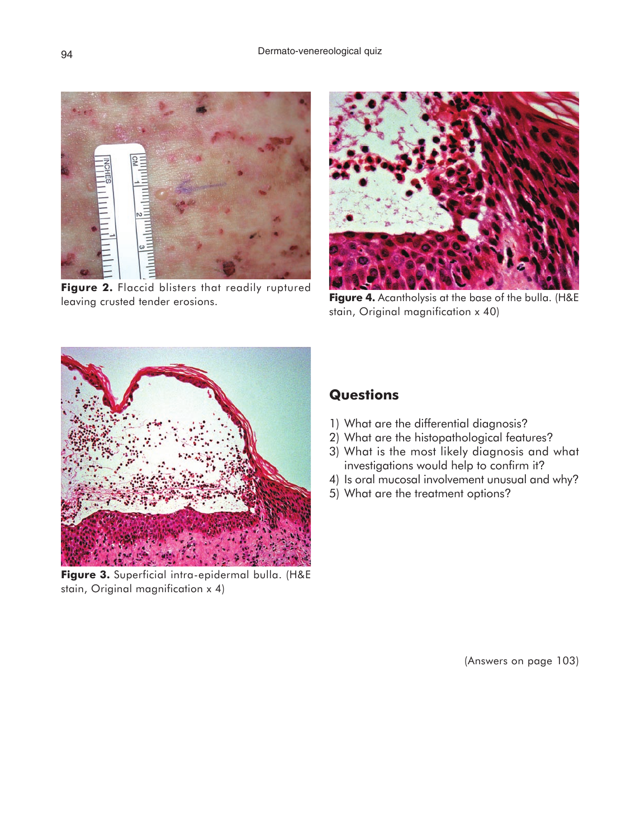

Figure 2. Flaccid blisters that readily ruptured leaving crusted tender erosions.



**Figure 4.** Acantholysis at the base of the bulla. (H&E stain, Original magnification x 40)



**Figure 3.** Superficial intra-epidermal bulla. (H&E stain, Original magnification x 4)

## **Questions**

- 1) What are the differential diagnosis?
- 2) What are the histopathological features?
- 3) What is the most likely diagnosis and what investigations would help to confirm it?
- 4) Is oral mucosal involvement unusual and why?
- 5) What are the treatment options?

(Answers on page 103)